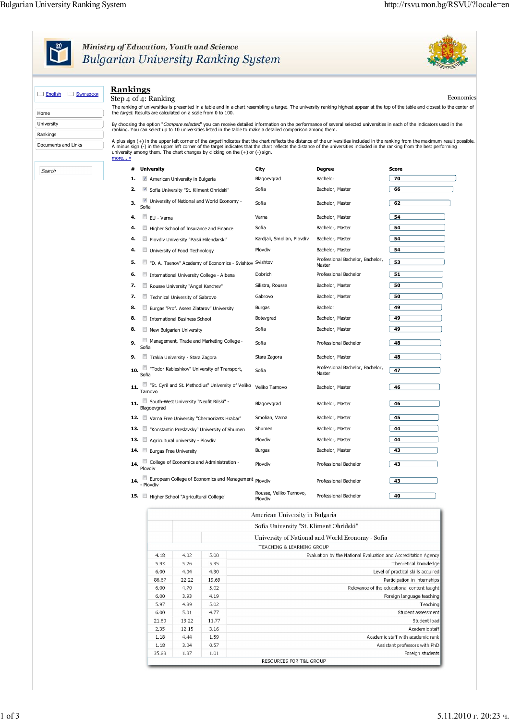

## Ministry of Education, Youth and Science<br>Bulgarian University Ranking System



|                             | <b>Rankings</b>                                                                                                                                                                                                                                                                                                                                                           |                                         |                                            |           |  |  |  |  |  |
|-----------------------------|---------------------------------------------------------------------------------------------------------------------------------------------------------------------------------------------------------------------------------------------------------------------------------------------------------------------------------------------------------------------------|-----------------------------------------|--------------------------------------------|-----------|--|--|--|--|--|
| $\Box$ English<br>Български | Step 4 of 4: Ranking                                                                                                                                                                                                                                                                                                                                                      |                                         |                                            | Economics |  |  |  |  |  |
| Home                        | The ranking of universities is presented in a table and in a chart resembling a target. The university ranking highest appear at the top of the table and closest to the center of<br>the target. Results are calculated on a scale from 0 to 100.                                                                                                                        |                                         |                                            |           |  |  |  |  |  |
| University                  | By choosing the option "Compare selected" you can receive detailed information on the performance of several selected universities in each of the indicators used in the                                                                                                                                                                                                  |                                         |                                            |           |  |  |  |  |  |
| Rankings                    | ranking. You can select up to 10 universities listed in the table to make a detailed comparison among them.                                                                                                                                                                                                                                                               |                                         |                                            |           |  |  |  |  |  |
| Documents and Links         | A plus sign (+) in the upper left corner of the <i>target</i> indicates that the chart reflects the distance of the universities included in the ranking from the maximum result possible.<br>A minus sign (-) in the upper left corner of the target indicates that the chart reflects the distance of the universities included in the ranking from the best performing |                                         |                                            |           |  |  |  |  |  |
|                             | university among them. The chart changes by clicking on the $(+)$ or $(-)$ sign.<br>more »                                                                                                                                                                                                                                                                                |                                         |                                            |           |  |  |  |  |  |
| Search                      | # University                                                                                                                                                                                                                                                                                                                                                              | City                                    | Degree                                     | Score     |  |  |  |  |  |
|                             | 1.<br>American University in Bulgaria                                                                                                                                                                                                                                                                                                                                     | Blagoevgrad                             | Bachelor                                   | 70        |  |  |  |  |  |
|                             | 2.<br>$\blacktriangledown$<br>Sofia University "St. Kliment Ohridski"                                                                                                                                                                                                                                                                                                     | Sofia                                   | Bachelor, Master                           | 66        |  |  |  |  |  |
|                             | University of National and World Economy -<br>3.<br>Sofia                                                                                                                                                                                                                                                                                                                 | Sofia                                   | Bachelor, Master                           | 62        |  |  |  |  |  |
|                             | 4.<br>EU - Varna                                                                                                                                                                                                                                                                                                                                                          | Varna                                   | Bachelor, Master                           | 54        |  |  |  |  |  |
|                             | 4.<br>Higher School of Insurance and Finance                                                                                                                                                                                                                                                                                                                              | Sofia                                   | Bachelor, Master                           | 54        |  |  |  |  |  |
|                             | 4.<br>Plovdiv University "Paisii Hilendarski"                                                                                                                                                                                                                                                                                                                             | Kardjali, Smolian, Plovdiv              | Bachelor, Master                           | 54        |  |  |  |  |  |
|                             | 4.<br>University of Food Technology                                                                                                                                                                                                                                                                                                                                       | Plovdiv                                 | Bachelor, Master                           | 54        |  |  |  |  |  |
|                             | 5.<br>"D. A. Tsenov" Academy of Economics - Svishtov Svishtov<br>F.                                                                                                                                                                                                                                                                                                       |                                         | Professional Bachelor, Bachelor,<br>Master | 53        |  |  |  |  |  |
|                             | 6.<br>C)<br>International University College - Albena                                                                                                                                                                                                                                                                                                                     | Dobrich                                 | Professional Bachelor                      | 51        |  |  |  |  |  |
|                             | 7.<br>O<br>Rousse University "Angel Kanchey"                                                                                                                                                                                                                                                                                                                              | Silistra, Rousse                        | Bachelor, Master                           | 50        |  |  |  |  |  |
|                             | 7.<br>Technical University of Gabrovo                                                                                                                                                                                                                                                                                                                                     | Gabrovo                                 | Bachelor, Master                           | 50        |  |  |  |  |  |
|                             | 8.<br>E.<br>Burgas "Prof. Assen Zlatarov" University                                                                                                                                                                                                                                                                                                                      | Burgas                                  | Bachelor                                   | 49        |  |  |  |  |  |
|                             | 8.<br>International Business School                                                                                                                                                                                                                                                                                                                                       | Botevgrad                               | Bachelor, Master                           | 49        |  |  |  |  |  |
|                             | 8.<br>New Bulgarian University                                                                                                                                                                                                                                                                                                                                            | Sofia                                   | Bachelor, Master                           | 49        |  |  |  |  |  |
|                             | Management, Trade and Marketing College -<br>9.<br>Sofia                                                                                                                                                                                                                                                                                                                  | Sofia                                   | Professional Bachelor                      | 48        |  |  |  |  |  |
|                             | 9.<br>Trakia University - Stara Zagora                                                                                                                                                                                                                                                                                                                                    | Stara Zagora                            | Bachelor, Master                           | 48        |  |  |  |  |  |
|                             | "Todor Kableshkov" University of Transport,<br>10.<br>Sofia                                                                                                                                                                                                                                                                                                               | Sofia                                   | Professional Bachelor, Bachelor,<br>Master | 47        |  |  |  |  |  |
|                             | "St. Cyril and St. Methodius" University of Veliko<br>11.<br>Tarnovo                                                                                                                                                                                                                                                                                                      | Veliko Tarnovo                          | Bachelor, Master                           | 46        |  |  |  |  |  |
|                             | 11. South-West University "Neofit Rilski" -<br>Blagoevgrad                                                                                                                                                                                                                                                                                                                | Blagoevgrad                             | Bachelor, Master                           | 46        |  |  |  |  |  |
|                             | 12. Varna Free University "Chernorizets Hrabar"                                                                                                                                                                                                                                                                                                                           | Smolian, Varna                          | Bachelor, Master                           | 45        |  |  |  |  |  |
|                             | 13. Konstantin Preslavsky" University of Shumen                                                                                                                                                                                                                                                                                                                           | Shumen                                  | Bachelor, Master                           | 44        |  |  |  |  |  |
|                             | 13. $\Box$<br>Agricultural university - Ploydiv                                                                                                                                                                                                                                                                                                                           | Plovdiv                                 | Bachelor, Master                           | 44        |  |  |  |  |  |
|                             | 14. Burgas Free University                                                                                                                                                                                                                                                                                                                                                | Burgas                                  | Bachelor, Master                           | 43        |  |  |  |  |  |
|                             | $\Box$ College of Economics and Administration $\Box$<br>14.<br>Plovdiv                                                                                                                                                                                                                                                                                                   | Plovdiv                                 | Professional Bachelor                      | 43        |  |  |  |  |  |
|                             | European College of Economics and Management Ploydiv<br>14.<br>- Plovdiv                                                                                                                                                                                                                                                                                                  |                                         | Professional Bachelor                      | 43        |  |  |  |  |  |
|                             | 15. Higher School "Agricultural College"                                                                                                                                                                                                                                                                                                                                  | Rousse, Veliko Tarnovo,<br>Plovdiv      | Professional Bachelor                      | 40        |  |  |  |  |  |
|                             |                                                                                                                                                                                                                                                                                                                                                                           | American University in Bulgaria         |                                            |           |  |  |  |  |  |
|                             |                                                                                                                                                                                                                                                                                                                                                                           | Sofia University "St. Kliment Ohridski" |                                            |           |  |  |  |  |  |

|                                      | Sofia University "St. Kliment Ohridski"          |       |                                                                |  |  |  |
|--------------------------------------|--------------------------------------------------|-------|----------------------------------------------------------------|--|--|--|
|                                      | University of National and World Economy - Sofia |       |                                                                |  |  |  |
| <b>TEACHING &amp; LEARNING GROUP</b> |                                                  |       |                                                                |  |  |  |
| 4.18                                 | 4.02                                             | 5.00  | Evaluation by the National Evaluation and Accreditation Agency |  |  |  |
| 5.93                                 | 5.26                                             | 5.35  | Theoretical knowledge                                          |  |  |  |
| 6.00                                 | 4.04                                             | 4.30  | Level of practical skills acquired                             |  |  |  |
| 86.67                                | 22.22                                            | 19.69 | Participation in internships                                   |  |  |  |
| 6.00                                 | 4.70                                             | 5.02  | Relevance of the educational content taught                    |  |  |  |
| 6.00                                 | 3.93                                             | 4.19  | Foreign language teaching                                      |  |  |  |
| 5.97                                 | 4.89                                             | 5.02  | Teaching                                                       |  |  |  |
| 6.00                                 | 5.01                                             | 4.77  | Student assessment                                             |  |  |  |
| 21.80                                | 13.22                                            | 11.77 | Student load                                                   |  |  |  |
| 2.35                                 | 12.15                                            | 3.16  | Academic staff                                                 |  |  |  |
| 1.18                                 | 4.44                                             | 1.59  | Academic staff with academic rank                              |  |  |  |
| 1.18                                 | 3.04                                             | 0.57  | Assistant professors with PhD                                  |  |  |  |
| 35.88                                | 1.87                                             | 1.01  | Foreign students                                               |  |  |  |
| RESOURCES FOR T&L GROUP              |                                                  |       |                                                                |  |  |  |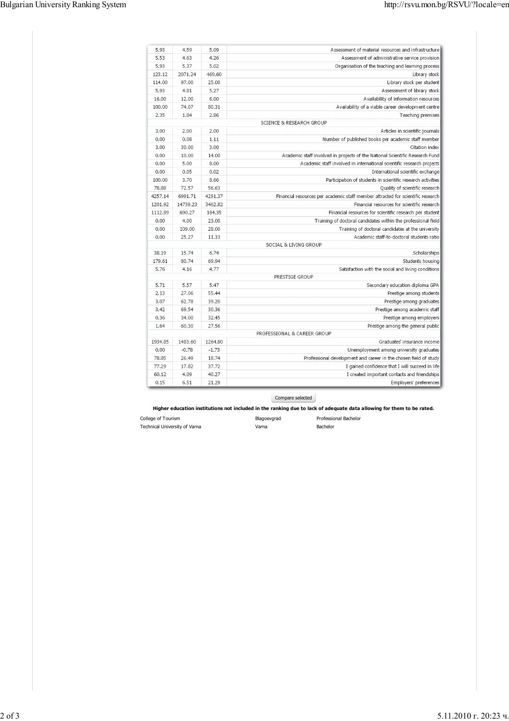| Assessment of material resources and infrastructure                             | 5.09    | 4.59     | 5.93    |
|---------------------------------------------------------------------------------|---------|----------|---------|
| Assessment of administrative service provision                                  | 4.26    | 4.63     | 5.53    |
| Organisation of the teaching and learning process                               | 5.02    | 5.37     | 5.93    |
| Library stock                                                                   | 469.60  | 2071.24  | 123.12  |
| Library stock per student                                                       | 25.00   | 97.00    | 114.00  |
| Assessment of library stock                                                     | 5.27    | 4.81     | 5.93    |
| Availability of information resources                                           | 6.00    | 12.00    | 16.00   |
| Availability of a viable career development centre                              | 80.31   | 74.07    | 100.00  |
| Teaching premises                                                               | 2.86    | 1.84     | 2.35    |
| <b>SCIENCE &amp; RESEARCH GROUP</b>                                             |         |          |         |
| Articles in scientific journals                                                 | 2.00    | 2.00     | 3.00    |
| Number of published books per academic staff member                             | 1.11    | 0.08     | 0.00    |
| Citation index                                                                  | 3.00    | 30.00    | 3.00    |
| Academic staff involved in projects of the National Scientific Research Fund    | 14.00   | 10.00    | 0.00    |
| Academic staff involved in international scientific research projects           | 8.00    | 5.00     | 0.00    |
| International scientific exchange                                               | 0.02    | 0.05     | 0.00    |
| Participation of students in scientific research activities                     | 8.66    | 3.70     | 100.00  |
| Quality of scientific research                                                  | 56.63   | 72.57    | 78.88   |
| Financial resources per academic staff member attracted for scientific research | 4291.37 | 6991.71  | 4257.14 |
| Financial resources for scientific research                                     | 3462.82 | 14739.23 | 1201.92 |
| Financial resources for scientific research per student                         | 184.35  | 690.27   | 1112.89 |
| Training of doctoral candidates within the professional field                   | 23.00   | 4.00     | 0.00    |
| Training of doctoral candidates at the university                               | 28.00   | 109.00   | 0.00    |
| Academic staff-to-doctoral students ratio                                       | 11.33   | 25.27    | 0.00    |
| SOCIAL & LIVING GROUP                                                           |         |          |         |
| Scholarships                                                                    | 6.74    | 15.74    | 38.19   |
| Students housing                                                                | 69.94   | 80.74    | 179.61  |
| Satisfaction with the social and living conditions                              | 4.77    | 4.16     | 5.76    |
| PRESTIGE GROUP                                                                  |         |          |         |
| Secondary education diploma GPA                                                 | 5.47    | 5.57     | 5.71    |
| Prestige among students                                                         | 55.44   | 27.06    | 2.13    |
| Prestige among graduates                                                        | 39.20   | 62.78    | 3.07    |
| Prestige among academic staff                                                   | 30.36   | 69.54    | 3.42    |
| Prestige among employers                                                        | 32.45   | 34.00    | 0.36    |
| Prestige among the general public                                               | 27.56   | 60.30    | 1.64    |
| PROFESSIONAL & CAREER GROUP                                                     |         |          |         |
| Graduates' insurance income                                                     | 1264.80 | 1483.60  | 1934.85 |
| Unemployment among university graduates                                         | $-1.73$ | $-0.78$  | 0.00    |
| Professional development and career in the chosen field of study                | 18.74   | 26.49    | 78.85   |
| I gained confidence that I will succeed in life                                 | 37.72   | 17.82    | 77.29   |
| I created important contacts and friendships                                    | 40.27   | 4.09     | 60.12   |
| Employers' preferences                                                          | 21.29   | 6.51     | 0.15    |

Compare selected

**Higher education institutions not included in the ranking due to lack of adequate data allowing for them to be rated.**

| College of Tourism            | Blagoevgrad | Professional Bachelor |
|-------------------------------|-------------|-----------------------|
| Technical University of Varna | Varna       | Bachelor              |